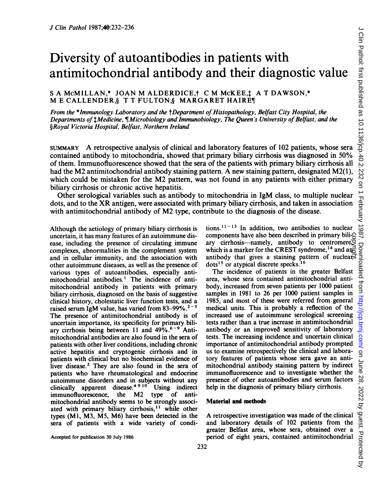# Diversity of autoantibodies in patients with antimitochondrial antibody and their diagnostic value

# S A MCMILLAN,\* JOAN M ALDERDICE, t C M McKEE, t A T DAWSON,\* M <sup>E</sup> CALLENDER,§ T T FULTON,§ MARGARET HAIRET

From the \*Immunology Laboratory and the †Department of Histopathology, Belfast City Hospital, the Departments of thedicine,  $\P$ Microbiology and Immunobiology, The Queen's University of Belfast, and the §Royal Victoria Hospital, Belfast, Northern Ireland

SUMMARY A retrospective analysis of clinical and laboratory features of <sup>102</sup> patients, whose sera contained antibody to mitochondria, showed that primary biliary cirrhosis was diagnosed in 50% of them. Immunofluorescence showed that the sera of the patients with primary biliary cirrhosis all had the M2 antimitochondrial antibody staining pattern. A new staining pattern, designated M2(1), which could be mistaken for the M2 pattern, was not found in any patients with either primary biliary cirrhosis or chronic active hepatitis.

Other serological variables such as antibody to mitochondria in IgM class, to multiple nuclear dots, and to the XR antigen, were associated with primary biliary cirrhosis, and taken in association with antimitochondrial antibody of M2 type, contribute to the diagnosis of the disease.

Although the aetiology of primary biliary cirrhosis is uncertain, it has many features of an autoimmune disease, including the presence of circulating immune complexes, abnormalities in the complement system and in cellular immunity, and the association with other autoimmune diseases, as well as the presence of various types of autoantibodies, especially antimitochondrial antibodies.' The incidence of antimitochondrial antibody in patients with primary biliary cirrhosis, diagnosed on the basis of suggestive clinical history, cholestatic liver function tests, and a raised serum IgM value, has varied from 83-99%.<sup>2-5</sup> The presence of antimitochondrial antibody is of uncertain importance, its specificity for primary biliary cirrhosis being between 11 and  $49\%$ .<sup>6-9</sup> Antimitochondrial antibodies are also found in the sera of patients with other liver conditions, including chronic active hepatitis and cryptogenic cirrhosis and in patients with clinical but no biochemical evidence of liver disease.<sup>2</sup> They are also found in the sera of patients who have rheumatological and endocrine autoimmune disorders and in subjects without any clinically apparent disease.<sup>4910</sup> Using indirect<br>immunofluorescence. the M2 type of antiimmunofluorescence, the M2 type of antimitochondrial antibody seems to be strongly associated with primary biliary cirrhosis,<sup>11</sup> while other types (MI, M3, M5, M6) have been detected in the sera of patients with a wide variety of condi-

Accepted for publication 30 July 1986

tions. $11 - 13$  In addition, two antibodies to nuclear components have also been described in primary biliary cirrhosis—namely, antibody to centromere $\tilde{Q}$ which is a marker for the CREST syndrome,<sup>14</sup> and and components have also been described in primary bili-3<br>ary cirrhosis—namely, antibody to centromere which is a marker for the CREST syndrome,<sup>14</sup> and an<sup>2</sup><br>antibody that gives a staining pattern of nuclear. dots<sup>15</sup> or atypical discrete specks.<sup>16</sup>

The incidence of patients in the greater Belfast area, whose sera contained antimitochondrial antibody, increased from seven patients per 1000 patient samples in 1981 to 26 per 1000 patient samples in 1985, and most of these were referred from general medical units. This is probably a reflection of the increased use of autoimmune serological screening tests rather than a true increase in antimitochondrial antibody or an improved sensitivity of laboratory tests. The increasing incidence and uncertain clinical importance of antimitochondrial antibody prompted us to examine retrospectively the clinical and laboratory features of patients whose sera gave an antimitochondrial antibody staining pattern by indirect immunofluorescence and to investigate whether the presence of other autoantibodies and serum factors help in the diagnosis of primary biliary cirrhosis.

#### Material and methods

A retrospective investigation was made of the clinical and laboratory details of 102 patients from the greater Belfast area, whose sera, obtained over a period of eight years, contained antimitochondrial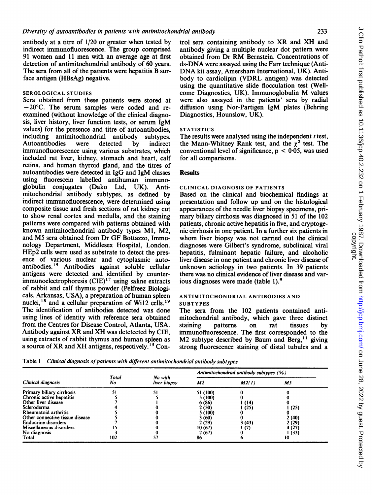antibody at a titre of 1/20 or greater when tested by indirect immunofluorescence. The group comprised 91 women and <sup>11</sup> men with an average age at first detection of antimitochondrial antibody of 60 years. The sera from all of the patients were hepatitis B surface antigen (HBsAg) negative.

### SEROLOGICAL STUDIES

Sera obtained from these patients were stored at  $-20^{\circ}$ C. The serum samples were coded and reexamined (without knowledge of the clinical diagnosis, liver history, liver function tests, or serum IgM values) for the presence and titre of autoantibodies, including antimitochondrial antibody subtypes. Autoantibodies were detected by indirect immunofluorescence using various substrates, which included rat liver, kidney, stomach and heart, calf retina, and human thyroid gland, and the titres of autoantibodies were detected in IgG and 1gM classes using fluorescein labelled antihuman immuno-<br>globulin conjugates (Dako Ltd. UK). Antiglobulin conjugates (Dako Ltd, UK). mitochondrial antibody subtypes, as defined by indirect immunofluorescence, were determined using composite tissue and fresh sections of rat kidney cut to show renal cortex and medulla, and the staining patterns were compared with patterns obtained with known antimitochondrial antibody types Ml, M2, and M5 sera obtained from Dr GF Bottazzo, Immunology Department, Middlesex Hospital, London. HEp2 cells were used as substrate to detect the presence of various nuclear and cytoplasmic autoantibodies.'5 Antibodies against soluble cellular antigens were detected and identified by counter $immunoelectrophoresis (CIE)^1$ <sup>7</sup> using saline extracts of rabbit and calf thymus powder (Pelfreez Biologicals, Arkansas, USA), a preparation of human spleen nuclei,<sup>18</sup> and a cellular preparation of Wi12 cells.<sup>19</sup> The identification of antibodies detected was done using lines of identity with reference sera obtained from the Centres for Disease Control, Atlanta, USA. Antibody against XR and XH was detetected by CIE, using extracts of rabbit thymus and human spleen as a source of XR and XH antigens, respectively.<sup>15</sup> Con-

trol sera containing antibody to XR and XH and antibody giving a multiple nuclear dot pattern were obtained from Dr RM Bernstein. Concentrations of ds-DNA were assayed using the Farr technique (Anti-DNA kit assay, Amersham International, UK). Antibody to cardiolipin (VDRL antigen) was detected using the quantitative slide flocculation test (Wellcome Diagnostics, UK). Immunoglobulin M values were also assayed in the patients' sera by radial diffusion using Nor-Partigen IgM plates (Behring Diagnostics, Hounslow, UK).

#### **STATISTICS**

The results were analysed using the independent  $t$  test, the Mann-Whitney Rank test, and the  $\chi^2$  test. The conventional level of significance,  $p < 0.05$ , was used for all comparisons.

#### **Results**

# CLINICAL DIAGNOSIS OF PATIENTS

Based on the clinical and biochemical findings at presentation and follow up and on the histological appearances of the needle liver biopsy specimens, primary biliary cirrhosis was diagnosed in 51 of the 102 patients, chronic active hepatitis in five, and cryptogenic cirrhosis in one patient. In a further six patients in whom liver biopsy was not carried out the clinical diagnoses were Gilbert's syndrome, subclinical viral hepatitis, fulminant hepatic failure, and alcoholic liver disease in one patient and chronic liver disease of unknown aetiology in two patients. In 39 patients there was no clinical evidence of liver disease and various diagnoses were made (table 1).9

#### ANTIMITOCHONDRIAL ANTIBODIES AND SUBTYPES

The sera from the 102 patients contained antimitochondrial antibody, which gave three distinct staining patterns on rat tissues by immunofluorescence. The first corresponded to the M2 subtype described by Baum and Berg,  $11$  giving strong fluorescence staining of distal tubules and a

Table 1 Clinical diagnosis of patients with different antimitochondrial antibody subtypes

| Clinical diagnosis              |             |                         | Antimitochondrial antibody subtypes (%) |        |        |  |
|---------------------------------|-------------|-------------------------|-----------------------------------------|--------|--------|--|
|                                 | Total<br>No | No with<br>liver biopsy | M2<br>M2(1)                             |        | M5     |  |
| Primary biliary cirrhosis       |             |                         | 51 (100)                                |        |        |  |
| Chronic active hepatitis        |             |                         | 5 (100)                                 |        |        |  |
| Other liver disease             |             |                         | 6 (86)                                  | (14)   |        |  |
| Scleroderma                     |             |                         | 2 (50)                                  | (25)   | (25)   |  |
| Rheumatoid arthritis            |             |                         | 5 (100)                                 |        |        |  |
| Other connective tissue disease |             |                         | 3 (60)                                  |        | 2(40)  |  |
| <b>Endocrine disorders</b>      |             |                         | 2 (29)                                  | 3 (43) | 2 (29) |  |
| Miscellaneous disorders         |             |                         | 10(67)                                  | l (7)  | 4 (27) |  |
| No diagnosis                    |             |                         | 2(67)                                   |        | (33)   |  |
| Total                           | 102         |                         | 86                                      |        | 10     |  |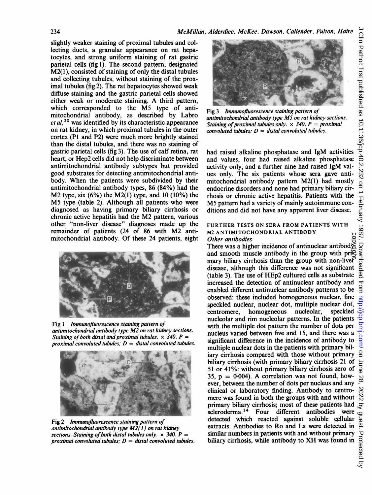slightly weaker staining of proximal tubules and collecting ducts, a granular appearance on rat hepatocytes, and strong uniform staining of rat gastric parietal cells (fig 1). The second pattern, designated M2(1), consisted of staining of only the distal tubules and collecting tubules, without staining of the proximal tubules (fig 2). The rat hepatocytes showed weak diffuse staining and the gastric parietal cells showed either weak or moderate staining. A third pattern, which corresponded to the M5 type of antimitochondrial antibody, as described by Labro  $et al.<sup>20</sup>$  was identified by its characteristic appearance on rat kidney, in which proximal tubules in the outer cortex (P1 and P2) were much more brightly stained than the distal tubules, and there was no staining of gastric parietal cells (fig 3). The use of calf retina, rat heart, or Hep2 cells did not help discriminate between antimitochondrial antibody subtypes but provided good substrates for detecting antimitochondrial antibody. When the patients were subdivided by their antimitochondrial antibody types, 86 (84%) had the M2 type, six  $(6\%)$  the M2(1) type, and 10 (10%) the M5 type (table 2). Although all patients who were diagnosed as having primary biliary cirrhosis or chronic active hepatitis had the M2 pattern, various other "non-liver disease" diagnoses made up the remainder of patients (24 of 86 with M2 antimitochondrial antibody. Of these 24 patients, eight



Fig 1 Immunofluorescence staining pattern of antimitochondrial antibody type M2 on rat kidney sections. Staining of both distal and proximal tubules.  $\times$  340. P =



Fig 2 Immunofluorescence staining pattern of antimitochondrial antibody type  $M2(1)$  on rat kidney sections. Staining of both distal tubules only.  $\times$  340. P proximal convoluted tubules;  $D =$  distal convoluted tubules.



Fig 3 Immunofluorescence staining pattern of antimitochondrial antibody type M5 on rat kidney sections. Staining of proximal tubules only.  $\times$  340. P = proximal convoluted tubules;  $D =$  distal convoluted tubules.

had raised alkaline phosphatase and IgM activities and values, four had raised alkaline phosphatase activity only, and a further nine had raised IgM values only. The six patients whose sera gave antimitochondrial antibody pattern M2(1) had mostly endocrine disorders and none had primary biliary cirrhosis or chronic active hepatitis. Patients with the M5 pattern had <sup>a</sup> variety of mainly autoimmune conditions and did not have any apparent liver disease.

# FURTHER TESTS ON SERA FROM PATIENTS WITH M2 ANTIMITOCHONDRIAL ANTIBODY Other antibodies

There was a higher incidence of antinuclear antibody and smooth muscle antibody in the group with pri $\overline{P}$ mary biliary cirrhosis than the group with non-liver disease, although this difference was not significant (table 3). The use of HEp2 cultured cells as substrate increased the detection of antinuclear antibody and enabled different antinuclear antibody patterns to be observed: these included homogeneous nuclear, fine speckled nuclear, nuclear dot, multiple nuclear dot, centromere, homogeneous nucleolar, speckled centromere, homogeneous nucleolar, nucleolar and rim nucleolar patterns. In the patients with the multiple dot pattern the number of dots per nucleus varied between five and 15, and there was a significant difference in the incidence of antibody to multiple nuclear dots in the patients with primary biliary cirrhosis compared with those without primary biliary cirrhosis (with primary biliary cirrhosis 21 of 51 or 41%: without primary biliary cirrhosis zero of 35,  $p = 0.004$ ). A correlation was not found, however, between the number of dots per nucleus and any clinical or laboratory finding. Antibody to centromere was found in both the groups with and without primary biliary cirrhosis; most of these patients had  $\sigma$ <br>scleroderma.<sup>14</sup> Four different antibodies were  $\sigma$ <br>detected which reacted against soluble cellular  $\sigma$ <br>extracts. Antibodies to Ro and La were detected in  $\sigma$ . scleroderma.<sup>14</sup> Four different antibodies were detected which reacted against soluble cellular extracts. Antibodies to Ro and La were detected in similar numbers in patients with and without primary biliary cirrhosis, while antibody to XH was found in copyright.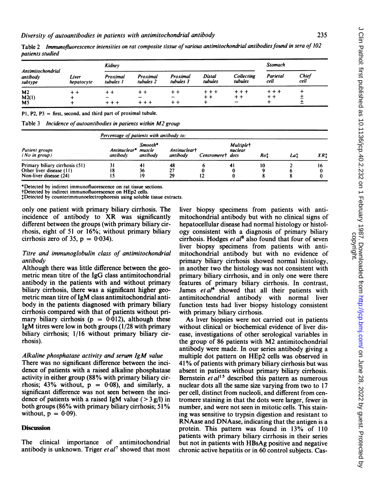| Antimitochondrial<br>antibody<br>subtype  | Liver<br>hepatocyte | <b>Kidne</b> y        |                       |                       |                            |                       | <b>Stomach</b>                           |               |
|-------------------------------------------|---------------------|-----------------------|-----------------------|-----------------------|----------------------------|-----------------------|------------------------------------------|---------------|
|                                           |                     | Proximal<br>tubules l | Proximal<br>tubules 2 | Proximal<br>tubules 3 | Distal<br>tubules          | Collecting<br>tubules | Parietal<br>cell                         | Chief<br>cell |
| M <sub>2</sub><br>M2(1)<br>M <sub>5</sub> |                     |                       |                       |                       | + + +<br>$^{\mathrm{+}}$ + | + + +<br>$+ +$        | + + +<br>$^{\mathrm{+}}$ $^{\mathrm{+}}$ |               |

Table 2 Immunofluorescence intensities on rat composite tissue of various antimitochondrial antibodies found in sera of 102 patients studied

P1, P2, P3 = first, second, and third part of proximal tubule.

Table 3 Incidence of autoantibodies in patients within M2 group

| Patient groups<br>$(No\ in\ group)$                                                  | Percentage of patients with antibody to: |                               |                          |                  |                             |     |     |     |
|--------------------------------------------------------------------------------------|------------------------------------------|-------------------------------|--------------------------|------------------|-----------------------------|-----|-----|-----|
|                                                                                      | Antinuclear*<br>antibody                 | Smooth*<br>muscle<br>antibody | Antinucleart<br>antibody | Centromeret dots | <b>Multiplet</b><br>nuclear | Roi | Lai | XR: |
| Primary biliary cirrhosis (51)<br>Other liver disease (11)<br>Non-liver disease (24) | 31<br>18<br>l 5                          | 36<br>19                      | 48<br>29                 |                  |                             |     |     |     |

\*Detected by indirect immunofluorescence on rat tissue sections.

tDetected by indirect immunofluorescence on HEp2 cells.

Detected by counterimmunoelectrophoresis using soluble tissue extracts.

only one patient with primary biliary cirrhosis. The incidence of antibody to XR was significantly different between the groups (with primary biliary cirrhosis, eight of 51 or 16%; without primary biliary cirrhosis zero of 35,  $p = 0.034$ .

# Titre and immunoglobulin class of antimitochondrial antibody

Although there was little difference between the geometric mean titre of the IgG class antimitochondrial antibody in the patients with and without primary biliary cirrhosis, there was a significant higher geometric mean titre of IgM class antimitochondrial antibody in the patients diagnosed with primary biliary cirrhosis compared with that of patients without primary biliary cirrhosis ( $p = 0.012$ ), although these IgM titres were low in both groups (1/28 with primary biliary cirrhosis; 1/16 without primary biliary cirrhosis).

# Alkaline phosphatase activity and serum IgM value

There was no significant difference between the incidence of patients with a raised alkaline phosphatase activity in either group (88% with primary biliary cirrhosis:  $43\%$  without,  $p = 0.08$ , and similarly, a significant difference was not seen between the incidence of patients with a raised IgM value ( $>$ 3 g/l) in both groups (86% with primary biliary cirrhosis; 51% without,  $p = 0.09$ ).

#### **Discussion**

The clinical importance of antimitochondrial antibody is unknown. Triger  $et al<sup>7</sup>$  showed that most liver biopsy specimens from patients with antimitochondrial antibody but with no clinical signs of hepatocellular disease had normal histology or histology consistent with a diagnosis of primary biliary cirrhosis. Hodges et  $al^8$  also found that four of seven liver biopsy specimens from patients with antimitochondrial antibody but with no evidence of primary biliary cirrhosis showed normal histology, in another two the histology was not consistent with primary biliary cirrhosis, and in only one were there features of primary biliary cirrhosis. In contrast, James  $et al<sup>4</sup>$  showed that all their patients with antimitochondrial antibody with normal liver function tests had liver biopsy histology consistent with primary biliary cirrhosis.

As liver biopsies were not carried out in patients without clinical or biochemical evidence of liver disease, investigations of other serological variables in the group of <sup>86</sup> patients with M2 antimitochondrial antibody were made. In our series antibody giving a multiple dot pattern on HEp2 cells was observed in 41% of patients with primary biliary cirrhosis but was absent in patients without primary biliary cirrhosis. Bernstein  $et al<sup>15</sup>$  described this pattern as numerous nuclear dots all the same size varying from two to 17 per cell, distinct from nucleoli, and different from centromere staining in that the dots were larger, fewer in number, and were not seen in mitotic cells. This staining was sensitive to trypsin digestion and resistant to RNAase and DNAase, indicating that the antigen is a protein. This pattern was found in 13% of 110 patients with primary biliary cirrhosis in their series but not in patients with HBsAg positive and negative chronic active hepatitis or in 60 control subjects. Cas